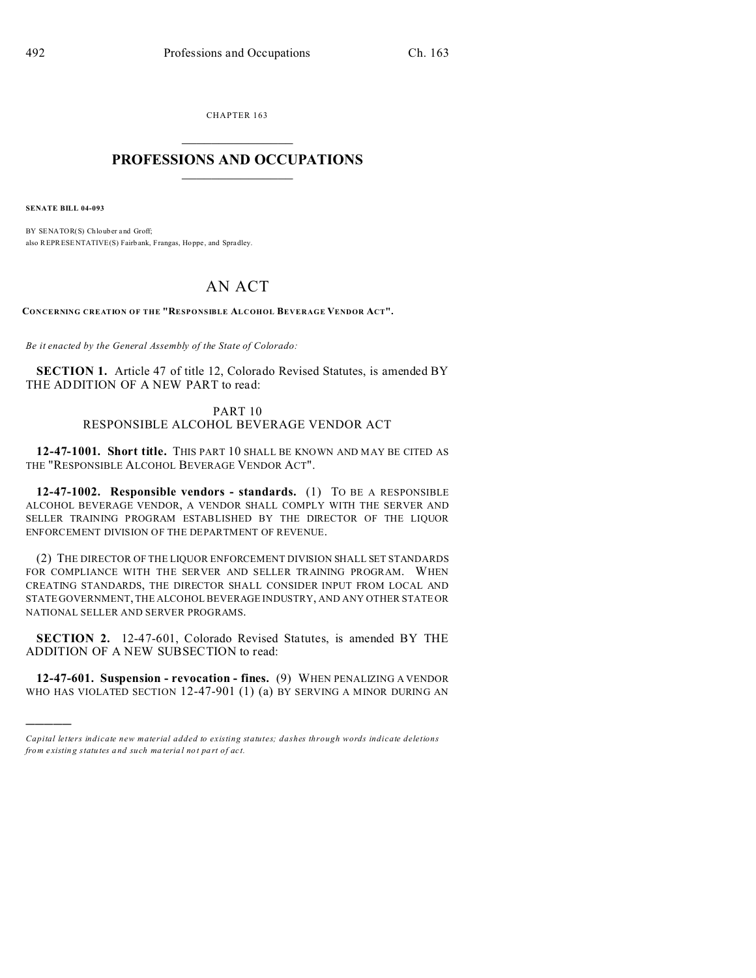CHAPTER 163  $\overline{\phantom{a}}$  , where  $\overline{\phantom{a}}$ 

## **PROFESSIONS AND OCCUPATIONS**  $\frac{1}{2}$  ,  $\frac{1}{2}$  ,  $\frac{1}{2}$  ,  $\frac{1}{2}$  ,  $\frac{1}{2}$  ,  $\frac{1}{2}$

**SENATE BILL 04-093**

)))))

BY SENATOR(S) Chlouber and Groff; also REPRESENTATIVE(S) Fairb ank, Frangas, Hoppe , and Spradley.

## AN ACT

**CONCERNING CREATION OF THE "RESPONSIBLE ALCOHOL BEVERAGE VENDOR ACT".**

*Be it enacted by the General Assembly of the State of Colorado:*

**SECTION 1.** Article 47 of title 12, Colorado Revised Statutes, is amended BY THE ADDITION OF A NEW PART to read:

## PART 10 RESPONSIBLE ALCOHOL BEVERAGE VENDOR ACT

**12-47-1001. Short title.** THIS PART 10 SHALL BE KNOWN AND MAY BE CITED AS THE "RESPONSIBLE ALCOHOL BEVERAGE VENDOR ACT".

**12-47-1002. Responsible vendors - standards.** (1) TO BE A RESPONSIBLE ALCOHOL BEVERAGE VENDOR, A VENDOR SHALL COMPLY WITH THE SERVER AND SELLER TRAINING PROGRAM ESTABLISHED BY THE DIRECTOR OF THE LIQUOR ENFORCEMENT DIVISION OF THE DEPARTMENT OF REVENUE.

(2) THE DIRECTOR OF THE LIQUOR ENFORCEMENT DIVISION SHALL SET STANDARDS FOR COMPLIANCE WITH THE SERVER AND SELLER TRAINING PROGRAM. WHEN CREATING STANDARDS, THE DIRECTOR SHALL CONSIDER INPUT FROM LOCAL AND STATE GOVERNMENT, THE ALCOHOL BEVERAGE INDUSTRY, AND ANY OTHER STATE OR NATIONAL SELLER AND SERVER PROGRAMS.

**SECTION 2.** 12-47-601, Colorado Revised Statutes, is amended BY THE ADDITION OF A NEW SUBSECTION to read:

**12-47-601. Suspension - revocation - fines.** (9) WHEN PENALIZING A VENDOR WHO HAS VIOLATED SECTION 12-47-901 (1) (a) BY SERVING A MINOR DURING AN

*Capital letters indicate new material added to existing statutes; dashes through words indicate deletions from e xistin g statu tes a nd such ma teria l no t pa rt of ac t.*